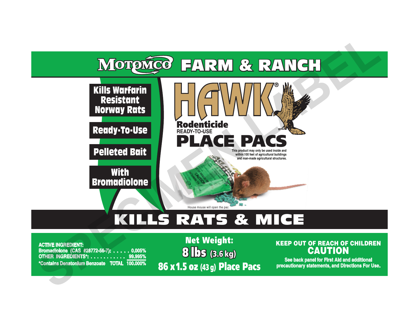

# KILLS RATS & MICE

**ACTIVE INGREDIENT: Bromadiolone (CAS #28772-56-7): . . . . . 0.005% OTHER INGREDIENTS\*: .. \*Contains Denatonium Benzoate TOTAL 100.000%**

8 lbs (3.6 kg) Net Weight: 86 x 1.5 oz (43 g) Place Pacs

# KEEP OUT OF REACH OF CHILDREN **CAUTION**

**See back panel for First Aid and additional precautionary statements, and Directions For Use.**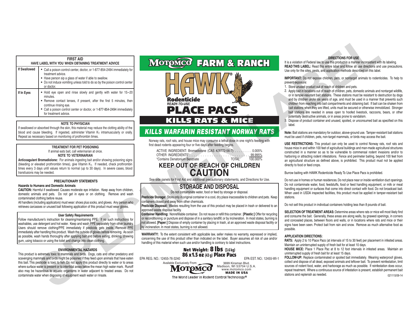| <b>FIRST AID</b><br>HAVE LABEL WITH YOU WHEN OBTAINING TREATMENT ADVICE |                                                                                                                                                                                                                                                                                   |  |  |
|-------------------------------------------------------------------------|-----------------------------------------------------------------------------------------------------------------------------------------------------------------------------------------------------------------------------------------------------------------------------------|--|--|
| <b>If Swallowed</b>                                                     | • Call a poison control center, doctor, or 1-877-854-2494 immediately for<br>treatment advice.<br>• Have person sip a glass of water if able to swallow.<br>• Do not induce vomiting unless told to do so by the poison control center<br>or doctor.                              |  |  |
| If In Eyes                                                              | • Hold eye open and rinse slowly and gently with water for 15-20<br>minutes.<br>• Remove contact lenses, if present, after the first 5 minutes, then<br>continue rinsing eye.<br>• Call a poison control center or doctor, or 1-877-854-2494 immediately<br>for treatment advice. |  |  |

#### **NOTE TO PHYSICIAN**

If swallowed or absorbed through the skin, this material may reduce the clotting ability of the blood and cause bleeding. If ingested, administer Vitamin  $K_1$  intramuscularly or orally. Repeat as necessary based on monitoring of prothrombin times.

#### **TREATMENT FOR PET POISONING**

If animal eats bait, call veterinarian at once. **NOTE TO VETERINARIAN**

**Anticoagulant Bromadiolone:** For animals ingesting bait and/or showing poisoning signs (bleeding or elevated prothrombin times), give Vitamin K1. If needed, check prothrombin times every 3 days until values return to normal (up to 30 days). In severe cases, blood transfusions may be needed.

#### **PRECAUTIONARY STATEMENTS**

#### **Hazards to Humans and Domestic Animals**

֡֡֡

**CAUTION:** Harmful if swallowed. Causes moderate eye irritation. Keep away from children, domestic animals and pets. Do not get in eyes or on clothing. Remove and wash contaminated clothing before reuse.

All handlers (including applicators) must wear: shoes plus socks, and gloves. Any person who retrieves carcasses or unused bait following application of this product must wear gloves.

#### **User Safety Requirements**

Follow manufacturer's instruction for cleaning/maintaining PPE. If no such instructions for washables, use detergent and hot water. Keep and wash PPE separately from other laundry. Users should remove clothing/PPE immediately if pesticide gets inside. Remove PPE immediately after handling this product. Wash the outside of gloves before removing. As soon as possible, wash hands thoroughly after applying bait and before eating, drinking, chewing gum, using tobacco or using the toilet and change into clean clothing. **SPECIMEN** 

#### **ENVIRONMENTAL HAZARDS**

This product is extremely toxic to mammals and birds. Dogs, cats and other predatory and scavenging mammals and birds might be poisoned if they feed upon animals that have eaten this bait. This pesticide is toxic to fish. Do not apply this product directly to water or to areas where surface water is present or to intertidal areas below the mean high water mark. Runoff also may be hazardous to aquatic organisms in water adjacent to treated areas. Do not contaminate water when disposing of equipment wash water or rinsate.

# Rodenticide **PLACE PACS**

MOTOMCO FARM & RANCH

# *KILLS WARFARIN RESISTANT NORWAY RATS*

Norway rats, roof rats, and house mice may consume a lethal dose in one night's feeding with first dead rodents appearing four or five days after feeding begins.

| ACTIVE INGREDIENT: Bromadiolone (CAS #28772-56-7):  0.005% |              |          |
|------------------------------------------------------------|--------------|----------|
|                                                            |              |          |
| *Contains Denatonium Benzoate                              | <b>TOTAL</b> | 100.000% |

### **KEEP OUT OF REACH OF CHILDREN CAUTION**

See side panels for First Aid and additional precautionary statements, and Directions for Use.

**STORAGE AND DISPOSAL** Do not contaminate water, food or feed by storage or disposal.

**Pesticide Storage:** Store only in original container in a cool, dry place inaccessible to children and pets. Keep containers closed and away from other chemicals.

**Pesticide Disposal:** Wastes resulting from the use of this product may be placed in trash or delivered to an approved waste disposal facility.

**Container Handling:** Nonrefillable container. Do not reuse or refill this container. **[Plastic:]** Offer for recycling or reconditioning; or puncture and dispose of in a sanitary landfill; or by incineration. In most states, burning is not allowed. **[Paper:]** Dispose of empty container by placing in trash, at an approved waste disposal facility or by incineration. In most states, burning is not allowed.

**WARRANTY:** To the extent consistent with applicable law, seller makes no warranty, expressed or implied, concerning the use of this product other than indicated on the label. Buyer assumes all risk of use and/or handling of this material when such use and/or handling is contrary to label instructions.



Madison, WI 53704 U.S.A.<br>www.motomco.com<br>MADE IN USA

#### **DIRECTIONS FOR USE**

It is a violation of Federal law to use this product in a manner inconsistent with its labeling. **READ THIS LABEL:** Read this entire label and follow all use directions and use precautions. Use only for the sites, pests, and application methods described on this label.

**IMPORTANT:** Do not expose children, pets, or nontarget animals to rodenticides. To help to prevent exposure:

- 1. Store unused product out of reach of children and pets.
- 2. Apply bait in locations out of reach of children, pets, domestic animals and nontarget wildlife, or in tamper-resistant bait stations. These stations must be resistant to destruction by dogs and by children under six years of age, and must be used in a manner that prevents such children from reaching into bait compartments and obtaining bait. If bait can be shaken from bait stations when they are lifted, units must be secured or otherwise immobilized. Stronger bait stations are needed in areas open to hoofed livestock, raccoons, bears, or other **DIRECTIONS FOR USE**<br>
It is a violation of Federal law to use this product in a manner inconsistent with<br>
READ THIS LABEL: Read this entre label and follow all use directions and<br>
Use only for the slies, pests, and applica
	- 3. Dispose of product container and unused, spoiled, or unconsumed bait as specified on this potentially destructive animals, or in areas prone to vandalism. label.

**Note:** Bait stations are mandatory for outdoor, above-ground use. Tamper-resistant bait stations must be used if children, pets, non-target mammals, or birds may access the bait.

**USE RESTRICTIONS:** This product can only be used to control Norway rats, roof rats and house mice in and within 100 feet of agricultural buildings and man-made agricultural structures constructed in a manner so as to be vulnerable to commensal rodent invasions and/or to harboring or attracting rodent infestations. Fence and perimeter baiting, beyond 100 feet from an agricultural structure as defined above, is prohibited. This product must not be applied directly to food or feed crops.

Burrow baiting with HAWK Rodenticide Ready To Use Place Pacs is prohibited.

Do not use in homes or human residences. Do not place near or inside ventilation duct openings. Do not contaminate water, food, feedstuffs, food or feed handling equipment, or milk or meat handling equipment or surfaces that come into direct contact with food. Do not broadcast bait. When used in USDA inspected facilities, this product must be applied in tamper-resistant bait stations.

Do not sell this product in individual containers holding less than 8 pounds of bait.

**SELECTION OF TREATMENT AREAS:** Determine areas where rats or mice will most likely find and consume the bait. Generally, these areas are along walls, by gnawed openings, in corners and concealed places, between floors and walls, or in locations where rats and mice or their signs have been seen. Protect bait from rain and snow. Remove as much alternative food as possible.

#### **APPLICATION DIRECTIONS:**

**RATS:** Apply 2 to 10 Place Pacs (at intervals of 15 to 30 feet) per placement in infested areas. Maintain an uninterrupted supply of fresh bait for at least 10 days.

**HOUSE MICE:** Place 1 Place Pac at 8 to 12 foot intervals in infested areas. Maintain an uninterrupted supply of fresh bait for at least 15 days.

**FOLLOW-UP:** Replace contaminated or spoiled bait immediately. Wearing waterproof gloves, collect and dispose of all dead, exposed animals and leftover bait. To prevent reinfestation, limit sources of rodent food, water, and harborage as much as possible. If reinfestation does occur, repeat treatment. Where a continuous source of infestation is present, establish permanent bait stations and replenish as needed. 021115/09-14